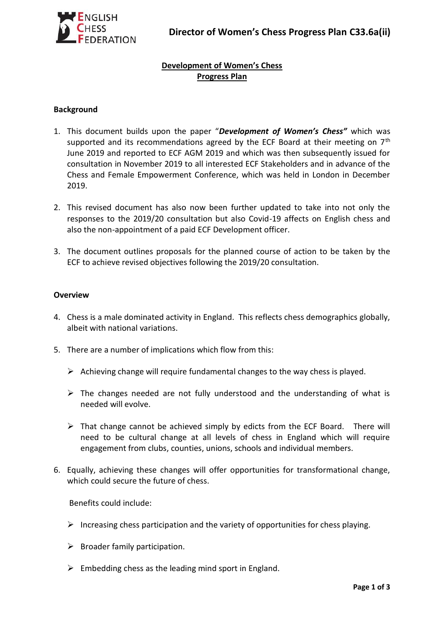# **Development of Women's Chess Progress Plan**

### **Background**

- 1. This document builds upon the paper "*Development of Women's Chess"* which was supported and its recommendations agreed by the ECF Board at their meeting on  $7<sup>th</sup>$ June 2019 and reported to ECF AGM 2019 and which was then subsequently issued for consultation in November 2019 to all interested ECF Stakeholders and in advance of the Chess and Female Empowerment Conference, which was held in London in December 2019.
- 2. This revised document has also now been further updated to take into not only the responses to the 2019/20 consultation but also Covid-19 affects on English chess and also the non-appointment of a paid ECF Development officer.
- 3. The document outlines proposals for the planned course of action to be taken by the ECF to achieve revised objectives following the 2019/20 consultation.

### **Overview**

- 4. Chess is a male dominated activity in England. This reflects chess demographics globally, albeit with national variations.
- 5. There are a number of implications which flow from this:
	- $\triangleright$  Achieving change will require fundamental changes to the way chess is played.
	- $\triangleright$  The changes needed are not fully understood and the understanding of what is needed will evolve.
	- $\triangleright$  That change cannot be achieved simply by edicts from the ECF Board. There will need to be cultural change at all levels of chess in England which will require engagement from clubs, counties, unions, schools and individual members.
- 6. Equally, achieving these changes will offer opportunities for transformational change, which could secure the future of chess.

Benefits could include:

- $\triangleright$  Increasing chess participation and the variety of opportunities for chess playing.
- $\triangleright$  Broader family participation.
- $\triangleright$  Embedding chess as the leading mind sport in England.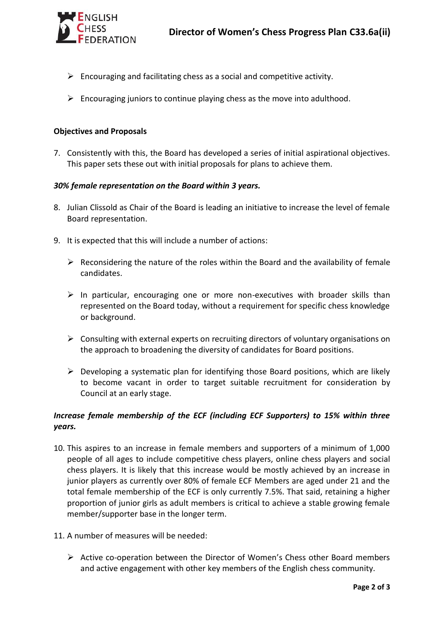

- $\triangleright$  Encouraging and facilitating chess as a social and competitive activity.
- $\triangleright$  Encouraging juniors to continue playing chess as the move into adulthood.

## **Objectives and Proposals**

7. Consistently with this, the Board has developed a series of initial aspirational objectives. This paper sets these out with initial proposals for plans to achieve them.

## *30% female representation on the Board within 3 years.*

- 8. Julian Clissold as Chair of the Board is leading an initiative to increase the level of female Board representation.
- 9. It is expected that this will include a number of actions:
	- $\triangleright$  Reconsidering the nature of the roles within the Board and the availability of female candidates.
	- $\triangleright$  In particular, encouraging one or more non-executives with broader skills than represented on the Board today, without a requirement for specific chess knowledge or background.
	- $\triangleright$  Consulting with external experts on recruiting directors of voluntary organisations on the approach to broadening the diversity of candidates for Board positions.
	- $\triangleright$  Developing a systematic plan for identifying those Board positions, which are likely to become vacant in order to target suitable recruitment for consideration by Council at an early stage.

# *Increase female membership of the ECF (including ECF Supporters) to 15% within three years.*

- 10. This aspires to an increase in female members and supporters of a minimum of 1,000 people of all ages to include competitive chess players, online chess players and social chess players. It is likely that this increase would be mostly achieved by an increase in junior players as currently over 80% of female ECF Members are aged under 21 and the total female membership of the ECF is only currently 7.5%. That said, retaining a higher proportion of junior girls as adult members is critical to achieve a stable growing female member/supporter base in the longer term.
- 11. A number of measures will be needed:
	- $\triangleright$  Active co-operation between the Director of Women's Chess other Board members and active engagement with other key members of the English chess community.